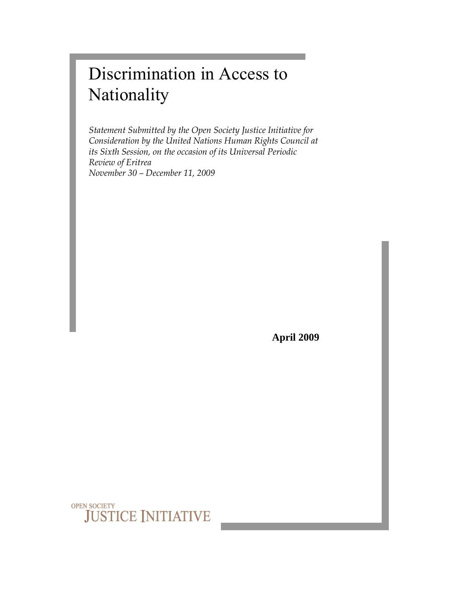# Discrimination in Access to Nationality

*Statement Submitted by the Open Society Justice Initiative for Consideration by the United Nations Human Rights Council at its Sixth Session, on the occasion of its Universal Periodic Review of Eritrea November 30 – December 11, 2009* 

**April 2009**

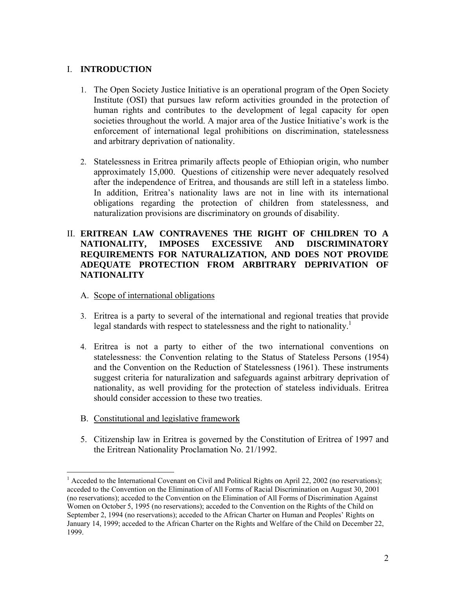### I. **INTRODUCTION**

- 1. The Open Society Justice Initiative is an operational program of the Open Society Institute (OSI) that pursues law reform activities grounded in the protection of human rights and contributes to the development of legal capacity for open societies throughout the world. A major area of the Justice Initiative's work is the enforcement of international legal prohibitions on discrimination, statelessness and arbitrary deprivation of nationality.
- 2. Statelessness in Eritrea primarily affects people of Ethiopian origin, who number approximately 15,000. Questions of citizenship were never adequately resolved after the independence of Eritrea, and thousands are still left in a stateless limbo. In addition, Eritrea's nationality laws are not in line with its international obligations regarding the protection of children from statelessness, and naturalization provisions are discriminatory on grounds of disability.

# II. **ERITREAN LAW CONTRAVENES THE RIGHT OF CHILDREN TO A NATIONALITY, IMPOSES EXCESSIVE AND DISCRIMINATORY REQUIREMENTS FOR NATURALIZATION, AND DOES NOT PROVIDE ADEQUATE PROTECTION FROM ARBITRARY DEPRIVATION OF NATIONALITY**

- A. Scope of international obligations
- 3. Eritrea is a party to several of the international and regional treaties that provide legal standards with respect to statelessness and the right to nationality.<sup>1</sup>
- 4. Eritrea is not a party to either of the two international conventions on statelessness: the Convention relating to the Status of Stateless Persons (1954) and the Convention on the Reduction of Statelessness (1961). These instruments suggest criteria for naturalization and safeguards against arbitrary deprivation of nationality, as well providing for the protection of stateless individuals. Eritrea should consider accession to these two treaties.
- B. Constitutional and legislative framework

 $\overline{a}$ 

5. Citizenship law in Eritrea is governed by the Constitution of Eritrea of 1997 and the Eritrean Nationality Proclamation No. 21/1992.

<sup>&</sup>lt;sup>1</sup> Acceded to the International Covenant on Civil and Political Rights on April 22, 2002 (no reservations); acceded to the Convention on the Elimination of All Forms of Racial Discrimination on August 30, 2001 (no reservations); acceded to the Convention on the Elimination of All Forms of Discrimination Against Women on October 5, 1995 (no reservations); acceded to the Convention on the Rights of the Child on September 2, 1994 (no reservations); acceded to the African Charter on Human and Peoples' Rights on January 14, 1999; acceded to the African Charter on the Rights and Welfare of the Child on December 22, 1999.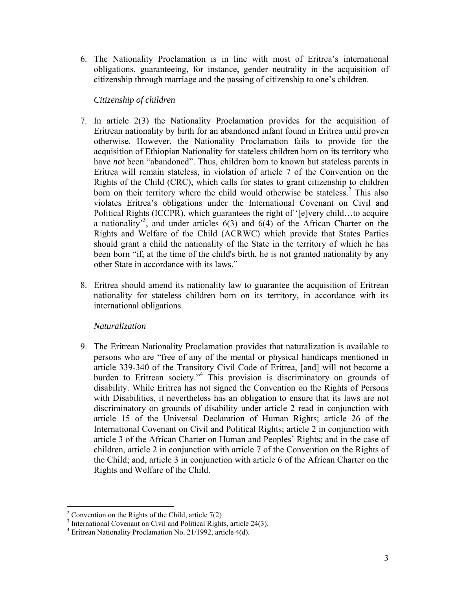6. The Nationality Proclamation is in line with most of Eritrea's international obligations, guaranteeing, for instance, gender neutrality in the acquisition of citizenship through marriage and the passing of citizenship to one's children.

## *Citizenship of children*

- 7. In article 2(3) the Nationality Proclamation provides for the acquisition of Eritrean nationality by birth for an abandoned infant found in Eritrea until proven otherwise. However, the Nationality Proclamation fails to provide for the acquisition of Ethiopian Nationality for stateless children born on its territory who have *not* been "abandoned". Thus, children born to known but stateless parents in Eritrea will remain stateless, in violation of article 7 of the Convention on the Rights of the Child (CRC), which calls for states to grant citizenship to children born on their territory where the child would otherwise be stateless.<sup>2</sup> This also violates Eritrea's obligations under the International Covenant on Civil and Political Rights (ICCPR), which guarantees the right of '[e]very child…to acquire a nationality<sup>3</sup>, and under articles  $6(3)$  and  $6(4)$  of the African Charter on the Rights and Welfare of the Child (ACRWC) which provide that States Parties should grant a child the nationality of the State in the territory of which he has been born "if, at the time of the child's birth, he is not granted nationality by any other State in accordance with its laws."
- 8. Eritrea should amend its nationality law to guarantee the acquisition of Eritrean nationality for stateless children born on its territory, in accordance with its international obligations.

# *Naturalization*

9. The Eritrean Nationality Proclamation provides that naturalization is available to persons who are "free of any of the mental or physical handicaps mentioned in article 339-340 of the Transitory Civil Code of Eritrea, [and] will not become a burden to Eritrean society."4 This provision is discriminatory on grounds of disability. While Eritrea has not signed the Convention on the Rights of Persons with Disabilities, it nevertheless has an obligation to ensure that its laws are not discriminatory on grounds of disability under article 2 read in conjunction with article 15 of the Universal Declaration of Human Rights; article 26 of the International Covenant on Civil and Political Rights; article 2 in conjunction with article 3 of the African Charter on Human and Peoples' Rights; and in the case of children, article 2 in conjunction with article 7 of the Convention on the Rights of the Child; and, article 3 in conjunction with article 6 of the African Charter on the Rights and Welfare of the Child.

<sup>&</sup>lt;sup>2</sup> Convention on the Rights of the Child, article 7(2)

<sup>&</sup>lt;sup>3</sup> International Covenant on Civil and Political Rights, article 24(3).

<sup>4</sup> Eritrean Nationality Proclamation No. 21/1992, article 4(d).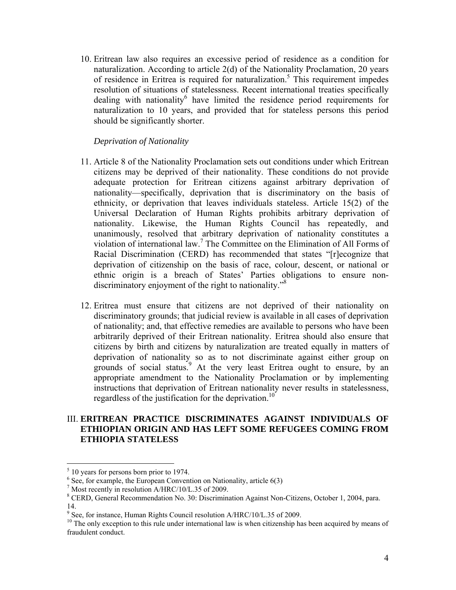10. Eritrean law also requires an excessive period of residence as a condition for naturalization. According to article 2(d) of the Nationality Proclamation, 20 years of residence in Eritrea is required for naturalization.<sup>5</sup> This requirement impedes resolution of situations of statelessness. Recent international treaties specifically dealing with nationality have limited the residence period requirements for naturalization to 10 years, and provided that for stateless persons this period should be significantly shorter.

#### *Deprivation of Nationality*

- 11. Article 8 of the Nationality Proclamation sets out conditions under which Eritrean citizens may be deprived of their nationality. These conditions do not provide adequate protection for Eritrean citizens against arbitrary deprivation of nationality—specifically, deprivation that is discriminatory on the basis of ethnicity, or deprivation that leaves individuals stateless. Article 15(2) of the Universal Declaration of Human Rights prohibits arbitrary deprivation of nationality. Likewise, the Human Rights Council has repeatedly, and unanimously, resolved that arbitrary deprivation of nationality constitutes a violation of international law.<sup>7</sup> The Committee on the Elimination of All Forms of Racial Discrimination (CERD) has recommended that states "[r]ecognize that deprivation of citizenship on the basis of race, colour, descent, or national or ethnic origin is a breach of States' Parties obligations to ensure nondiscriminatory enjoyment of the right to nationality."<sup>8</sup>
- 12. Eritrea must ensure that citizens are not deprived of their nationality on discriminatory grounds; that judicial review is available in all cases of deprivation of nationality; and, that effective remedies are available to persons who have been arbitrarily deprived of their Eritrean nationality. Eritrea should also ensure that citizens by birth and citizens by naturalization are treated equally in matters of deprivation of nationality so as to not discriminate against either group on grounds of social status.<sup>9</sup> At the very least Eritrea ought to ensure, by an appropriate amendment to the Nationality Proclamation or by implementing instructions that deprivation of Eritrean nationality never results in statelessness, regardless of the justification for the deprivation.<sup>10</sup>

#### III. **ERITREAN PRACTICE DISCRIMINATES AGAINST INDIVIDUALS OF ETHIOPIAN ORIGIN AND HAS LEFT SOME REFUGEES COMING FROM ETHIOPIA STATELESS**

 $\overline{a}$ 

 $<sup>5</sup>$  10 years for persons born prior to 1974.</sup>

<sup>&</sup>lt;sup>6</sup> See, for example, the European Convention on Nationality, article 6(3)  $^7$  Most recently in recelution  $\Lambda$ /HPC/10/L 35 of 2000

 $^7$  Most recently in resolution A/HRC/10/L.35 of 2009.

CERD, General Recommendation No. 30: Discrimination Against Non-Citizens, October 1, 2004, para. 14.

<sup>&</sup>lt;sup>9</sup> See, for instance, Human Rights Council resolution A/HRC/10/L.35 of 2009.

<sup>&</sup>lt;sup>10</sup> The only exception to this rule under international law is when citizenship has been acquired by means of fraudulent conduct.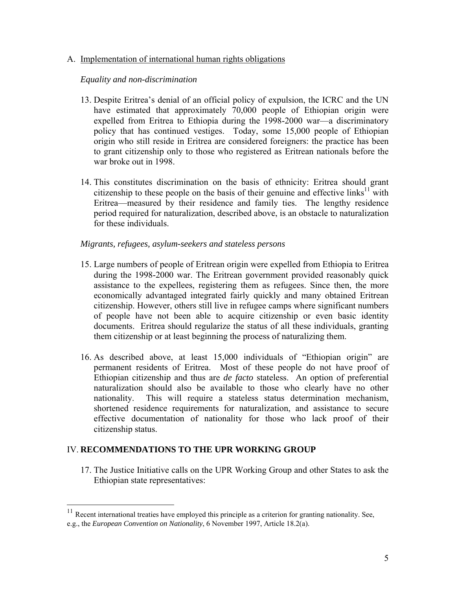#### A. Implementation of international human rights obligations

#### *Equality and non-discrimination*

- 13. Despite Eritrea's denial of an official policy of expulsion, the ICRC and the UN have estimated that approximately 70,000 people of Ethiopian origin were expelled from Eritrea to Ethiopia during the 1998-2000 war—a discriminatory policy that has continued vestiges. Today, some 15,000 people of Ethiopian origin who still reside in Eritrea are considered foreigners: the practice has been to grant citizenship only to those who registered as Eritrean nationals before the war broke out in 1998.
- 14. This constitutes discrimination on the basis of ethnicity: Eritrea should grant citizenship to these people on the basis of their genuine and effective links<sup>11</sup> with Eritrea—measured by their residence and family ties. The lengthy residence period required for naturalization, described above, is an obstacle to naturalization for these individuals.

#### *Migrants, refugees, asylum-seekers and stateless persons*

- 15. Large numbers of people of Eritrean origin were expelled from Ethiopia to Eritrea during the 1998-2000 war. The Eritrean government provided reasonably quick assistance to the expellees, registering them as refugees. Since then, the more economically advantaged integrated fairly quickly and many obtained Eritrean citizenship. However, others still live in refugee camps where significant numbers of people have not been able to acquire citizenship or even basic identity documents. Eritrea should regularize the status of all these individuals, granting them citizenship or at least beginning the process of naturalizing them.
- 16. As described above, at least 15,000 individuals of "Ethiopian origin" are permanent residents of Eritrea. Most of these people do not have proof of Ethiopian citizenship and thus are *de facto* stateless. An option of preferential naturalization should also be available to those who clearly have no other nationality. This will require a stateless status determination mechanism, shortened residence requirements for naturalization, and assistance to secure effective documentation of nationality for those who lack proof of their citizenship status.

#### IV. **RECOMMENDATIONS TO THE UPR WORKING GROUP**

1

17. The Justice Initiative calls on the UPR Working Group and other States to ask the Ethiopian state representatives:

 $11$  Recent international treaties have employed this principle as a criterion for granting nationality. See, e.g., the *European Convention on Nationality*, 6 November 1997, Article 18.2(a).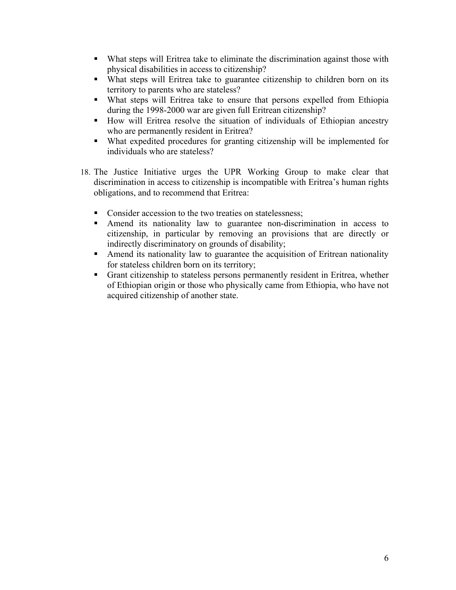- What steps will Eritrea take to eliminate the discrimination against those with physical disabilities in access to citizenship?
- What steps will Eritrea take to guarantee citizenship to children born on its territory to parents who are stateless?
- What steps will Eritrea take to ensure that persons expelled from Ethiopia during the 1998-2000 war are given full Eritrean citizenship?
- How will Eritrea resolve the situation of individuals of Ethiopian ancestry who are permanently resident in Eritrea?
- What expedited procedures for granting citizenship will be implemented for individuals who are stateless?
- 18. The Justice Initiative urges the UPR Working Group to make clear that discrimination in access to citizenship is incompatible with Eritrea's human rights obligations, and to recommend that Eritrea:
	- Consider accession to the two treaties on statelessness;
	- Amend its nationality law to guarantee non-discrimination in access to citizenship, in particular by removing an provisions that are directly or indirectly discriminatory on grounds of disability;
	- Amend its nationality law to guarantee the acquisition of Eritrean nationality for stateless children born on its territory;
	- Grant citizenship to stateless persons permanently resident in Eritrea, whether of Ethiopian origin or those who physically came from Ethiopia, who have not acquired citizenship of another state.